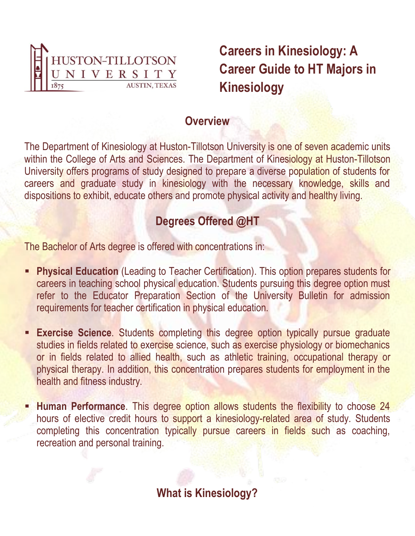

**Careers in Kinesiology: A Career Guide to HT Majors in Kinesiology**

### **Overview**

The Department of Kinesiology at Huston-Tillotson University is one of seven academic units within the College of Arts and Sciences. The Department of Kinesiology at Huston-Tillotson University offers programs of study designed to prepare a diverse population of students for careers and graduate study in kinesiology with the necessary knowledge, skills and dispositions to exhibit, educate others and promote physical activity and healthy living.

# **Degrees Offered @HT**

The Bachelor of Arts degree is offered with concentrations in:

- **Physical Education** (Leading to Teacher Certification). This option prepares students for careers in teaching school physical education. Students pursuing this degree option must refer to the Educator Preparation Section of the University Bulletin for admission requirements for teacher certification in physical education.
- **Exercise Science.** Students completing this degree option typically pursue graduate п studies in fields related to exercise science, such as exercise physiology or biomechanics or in fields related to allied health, such as athletic training, occupational therapy or physical therapy. In addition, this concentration prepares students for employment in the health and fitness industry.
- **Human Performance.** This degree option allows students the flexibility to choose 24 hours of elective credit hours to support a kinesiology-related area of study. Students completing this concentration typically pursue careers in fields such as coaching, recreation and personal training.

**What is Kinesiology?**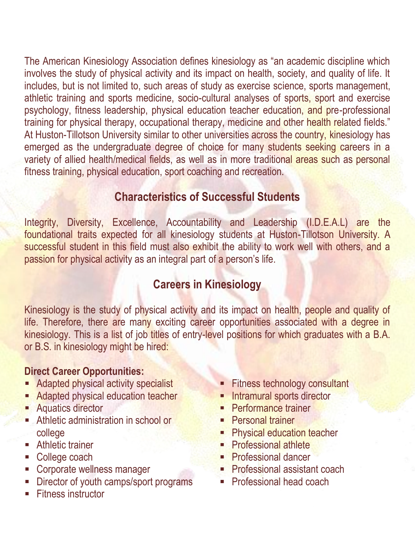The American Kinesiology Association defines kinesiology as "an academic discipline which involves the study of physical activity and its impact on health, society, and quality of life. It includes, but is not limited to, such areas of study as exercise science, sports management, athletic training and sports medicine, socio-cultural analyses of sports, sport and exercise psychology, fitness leadership, physical education teacher education, and pre-professional training for physical therapy, occupational therapy, medicine and other health related fields." At Huston-Tillotson University similar to other universities across the country, kinesiology has emerged as the undergraduate degree of choice for many students seeking careers in a variety of allied health/medical fields, as well as in more traditional areas such as personal fitness training, physical education, sport coaching and recreation.

## **Characteristics of Successful Students**

Integrity, Diversity, Excellence, Accountability and Leadership (I.D.E.A.L) are the foundational traits expected for all kinesiology students at Huston-Tillotson University. A successful student in this field must also exhibit the ability to work well with others, and a passion for physical activity as an integral part of a person's life.

## **Careers in Kinesiology**

Kinesiology is the study of physical activity and its impact on health, people and quality of life. Therefore, there are many exciting career opportunities associated with a degree in kinesiology. This is a list of job titles of entry-level positions for which graduates with a B.A. or B.S. in kinesiology might be hired:

### **Direct Career Opportunities:**

- Adapted physical activity specialist
- **Adapted physical education teacher**
- **Aquatics director**
- **Athletic administration in school or** college
- **Athletic trainer**
- College coach
- Corporate wellness manager
- **-** Director of youth camps/sport programs
- **Fitness instructor**
- Fitness technology consultant
- Intramural sports director
- **Performance trainer**
- **Personal trainer**
- Physical education teacher
- **Professional athlete**
- **Professional dancer**
- **Professional assistant coach**
- **Professional head coach**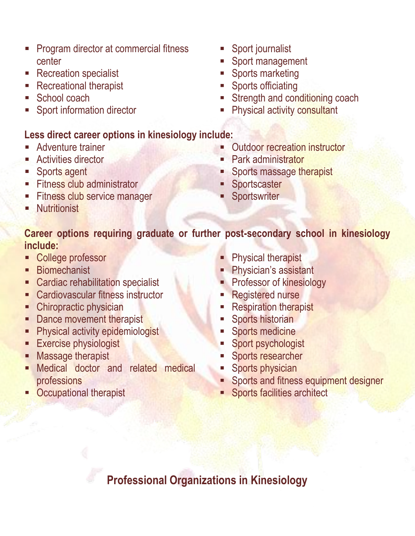- Program director at commercial fitness  $\overline{\phantom{a}}$ center
- Recreation specialist
- Recreational therapist
- School coach
- Sport information director

## **Less direct career options in kinesiology include:**

- Adventure trainer
- Activities director
- **Sports agent**
- Fitness club administrator
- Fitness club service manager
- **Nutritionist**
- Sport journalist
- Sport management
- Sports marketing
- Sports officiating
- Strength and conditioning coach
- Physical activity consultant
- Outdoor recreation instructor
- Park administrator
- **Sports massage therapist**
- **Sportscaster**
- **Sportswriter**

## **Career options requiring graduate or further post-secondary school in kinesiology include:**

- College professor
- **Biomechanist**
- **EXEC** Cardiac rehabilitation specialist
- Cardiovascular fitness instructor
- Chiropractic physician
- Dance movement therapist
- **Physical activity epidemiologist**
- **Exercise physiologist**
- Massage therapist
- Medical doctor and related medical professions

### **Physical therapist**

- **Physician's assistant**
- Professor of kinesiology
- Registered nurse
- Respiration therapist
- Sports historian
- Sports medicine
- Sport psychologist
- Sports researcher
- Sports physician
- **Sports and fitness equipment designer**
- **Sports facilities architect**

**-** Occupational therapist

**Professional Organizations in Kinesiology**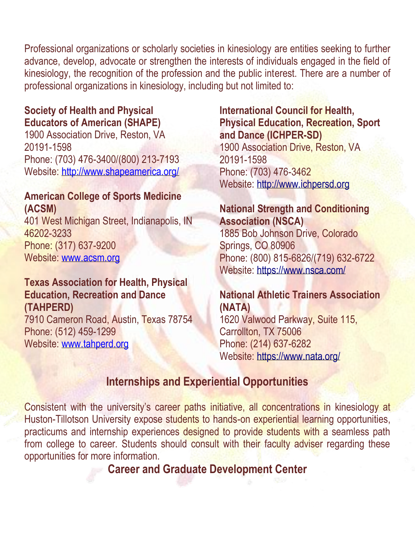Professional organizations or scholarly societies in kinesiology are entities seeking to further advance, develop, advocate or strengthen the interests of individuals engaged in the field of kinesiology, the recognition of the profession and the public interest. There are a number of professional organizations in kinesiology, including but not limited to:

### **Society of Health and Physical Educators of American (SHAPE)**

1900 Association Drive, Reston, VA 20191-1598 Phone: (703) 476-3400/(800) 213-7193 Website: <http://www.shapeamerica.org/>

#### **American College of Sports Medicine (ACSM)**

401 West Michigan Street, Indianapolis, IN 46202-3233 Phone: (317) 637-9200 Website: [www.acsm.org](http://www.acsm.org/)

#### **Texas Association for Health, Physical Education, Recreation and Dance (TAHPERD)**

7910 Cameron Road, Austin, Texas 78754 Phone: (512) 459-1299 Website: [www.tahperd.org](http://www.tahperd.org/)

#### **International Council for Health, Physical Education, Recreation, Sport and Dance (ICHPER-SD)**

1900 Association Drive, Reston, VA 20191-1598 Phone: (703) 476-3462 Website: [http://www.ichpersd.org](http://www.ichpersd.org/)

#### **National Strength and Conditioning Association (NSCA)**

1885 Bob Johnson Drive, Colorado Springs, CO 80906 Phone: (800) 815-6826/(719) 632-6722 Website:<https://www.nsca.com/>

### **National Athletic Trainers Association (NATA)**

1620 Valwood Parkway, Suite 115, Carrollton, TX 75006 Phone: (214) 637-6282 Website:<https://www.nata.org/>

## **Internships and Experiential Opportunities**

Consistent with the university's career paths initiative, all concentrations in kinesiology at Huston-Tillotson University expose students to hands-on experiential learning opportunities, practicums and internship experiences designed to provide students with a seamless path from college to career. Students should consult with their faculty adviser regarding these opportunities for more information.

**Career and Graduate Development Center**